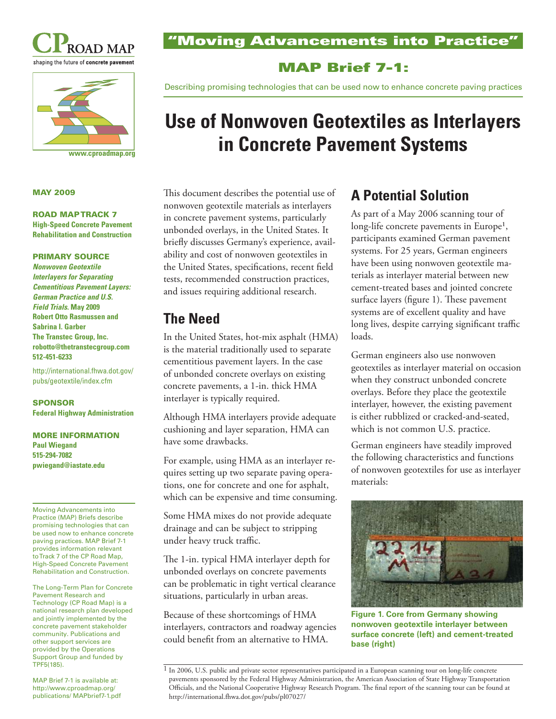



#### **www.cproadmap.org**

#### **MAY 2009**

#### **ROAD MAP TRACK 7 High-Speed Concrete Pavement**

**Rehabilitation and Construction** 

### **PRIMARY SOURCE**

*Nonwoven Geotextile Interlayers for Separating Cementitious Pavement Layers: German Practice and U.S. Field Trials***. May 2009 Robert Otto Rasmussen and Sabrina I. Garber The Transtec Group, Inc. robotto@thetranstecgroup.com 512-451-6233** 

http://international.fhwa.dot.gov/ pubs/geotextile/index.cfm

### **SPONSOR Federal Highway Administration**

#### **MORE INFORMATION Paul Wiegand 515-294-7082 pwiegand@iastate.edu**

Moving Advancements into Practice (MAP) Briefs describe promising technologies that can be used now to enhance concrete paving practices. MAP Brief 7-1 provides information relevant to Track 7 of the CP Road Map, High-Speed Concrete Pavement Rehabilitation and Construction.

The Long-Term Plan for Concrete Pavement Research and Technology (CP Road Map) is a national research plan developed and jointly implemented by the concrete pavement stakeholder community. Publications and other support services are provided by the Operations Support Group and funded by TPF5(185).

MAP Brief 7-1 is available at: http://www.cproadmap.org/ publications/ MAPbrief7-1.pdf **"Moving Advancements into Practice"** 

## **MAP Brief 7-1:**

Describing promising technologies that can be used now to enhance concrete paving practices

# **Use of Nonwoven Geotextiles as Interlayers in Concrete Pavement Systems**

This document describes the potential use of nonwoven geotextile materials as interlayers in concrete pavement systems, particularly unbonded overlays, in the United States. It briefly discusses Germany's experience, availability and cost of nonwoven geotextiles in the United States, specifications, recent field tests, recommended construction practices, and issues requiring additional research.

## **The Need**

In the United States, hot-mix asphalt (HMA) is the material traditionally used to separate cementitious pavement layers. In the case of unbonded concrete overlays on existing concrete pavements, a 1-in. thick HMA interlayer is typically required.

Although HMA interlayers provide adequate cushioning and layer separation, HMA can have some drawbacks.

For example, using HMA as an interlayer requires setting up two separate paving operations, one for concrete and one for asphalt, which can be expensive and time consuming.

Some HMA mixes do not provide adequate drainage and can be subject to stripping under heavy truck traffic.

The 1-in. typical HMA interlayer depth for unbonded overlays on concrete pavements can be problematic in tight vertical clearance situations, particularly in urban areas.

Because of these shortcomings of HMA interlayers, contractors and roadway agencies could benefit from an alternative to HMA.

## **A Potential Solution**

As part of a May 2006 scanning tour of long-life concrete pavements in Europe<sup>1</sup>, participants examined German pavement systems. For 25 years, German engineers have been using nonwoven geotextile materials as interlayer material between new cement-treated bases and jointed concrete surface layers (figure 1). These pavement systems are of excellent quality and have long lives, despite carrying significant traffic loads.

German engineers also use nonwoven geotextiles as interlayer material on occasion when they construct unbonded concrete overlays. Before they place the geotextile interlayer, however, the existing pavement is either rubblized or cracked-and-seated, which is not common U.S. practice.

German engineers have steadily improved the following characteristics and functions of nonwoven geotextiles for use as interlayer materials:



**Figure 1. Core from Germany showing nonwoven geotextile interlayer between surface concrete (left) and cement-treated base (right)** 

<sup>1</sup> In 2006, U.S. public and private sector representatives participated in a European scanning tour on long-life concrete pavements sponsored by the Federal Highway Administration, the American Association of State Highway Transportation Officials, and the National Cooperative Highway Research Program. The final report of the scanning tour can be found at http://international.fhwa.dot.gov/pubs/pl07027/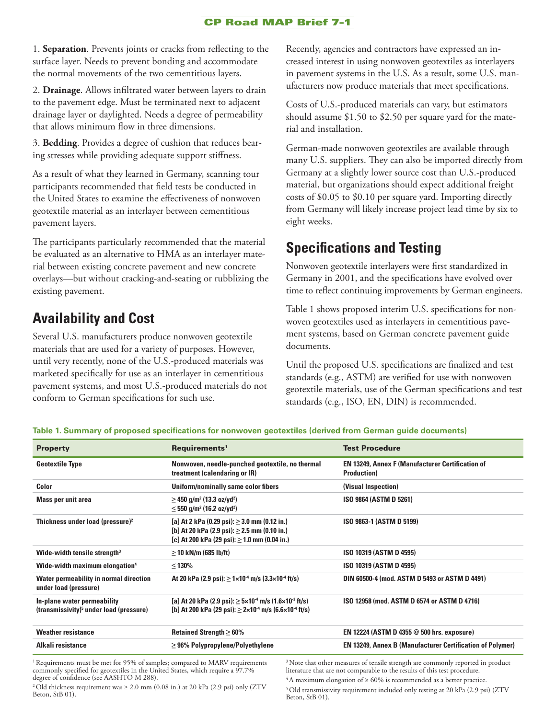### **CP Road MAP Brief 7-1**

1. **Separation**. Prevents joints or cracks from reflecting to the surface layer. Needs to prevent bonding and accommodate the normal movements of the two cementitious layers.

2. **Drainage**. Allows infiltrated water between layers to drain to the pavement edge. Must be terminated next to adjacent drainage layer or daylighted. Needs a degree of permeability that allows minimum flow in three dimensions.

3. **Bedding**. Provides a degree of cushion that reduces bearing stresses while providing adequate support stiffness.

As a result of what they learned in Germany, scanning tour participants recommended that field tests be conducted in the United States to examine the effectiveness of nonwoven geotextile material as an interlayer between cementitious pavement layers.

The participants particularly recommended that the material be evaluated as an alternative to HMA as an interlayer material between existing concrete pavement and new concrete overlays—but without cracking-and-seating or rubblizing the existing pavement.

## **Availability and Cost**

Several U.S. manufacturers produce nonwoven geotextile materials that are used for a variety of purposes. However, until very recently, none of the U.S.-produced materials was marketed specifically for use as an interlayer in cementitious pavement systems, and most U.S.-produced materials do not conform to German specifications for such use.

Recently, agencies and contractors have expressed an increased interest in using nonwoven geotextiles as interlayers in pavement systems in the U.S. As a result, some U.S. manufacturers now produce materials that meet specifications.

Costs of U.S.-produced materials can vary, but estimators should assume \$1.50 to \$2.50 per square yard for the material and installation.

German-made nonwoven geotextiles are available through many U.S. suppliers. They can also be imported directly from Germany at a slightly lower source cost than U.S.-produced material, but organizations should expect additional freight costs of \$0.05 to \$0.10 per square yard. Importing directly from Germany will likely increase project lead time by six to eight weeks.

## **Specifications and Testing**

Nonwoven geotextile interlayers were first standardized in Germany in 2001, and the specifications have evolved over time to reflect continuing improvements by German engineers.

Table 1 shows proposed interim U.S. specifications for nonwoven geotextiles used as interlayers in cementitious pavement systems, based on German concrete pavement guide documents.

Until the proposed U.S. specifications are finalized and test standards (e.g., ASTM) are verified for use with nonwoven geotextile materials, use of the German specifications and test standards (e.g., ISO, EN, DIN) is recommended.

**Table 1. Summary of proposed specifications for nonwoven geotextiles (derived from German guide documents)** 

| <b>Property</b>                                                                    | Requirements <sup>1</sup>                                                                                                                                              | <b>Test Procedure</b>                                                          |
|------------------------------------------------------------------------------------|------------------------------------------------------------------------------------------------------------------------------------------------------------------------|--------------------------------------------------------------------------------|
| <b>Geotextile Type</b>                                                             | Nonwoven, needle-punched geotextile, no thermal<br>treatment (calendaring or IR)                                                                                       | <b>EN 13249, Annex F (Manufacturer Certification of</b><br><b>Production</b> ) |
| Color                                                                              | Uniform/nominally same color fibers                                                                                                                                    | (Visual Inspection)                                                            |
| Mass per unit area                                                                 | $\geq$ 450 g/m <sup>2</sup> (13.3 oz/yd <sup>2</sup> )<br>$\leq$ 550 g/m <sup>2</sup> (16.2 oz/yd <sup>2</sup> )                                                       | ISO 9864 (ASTM D 5261)                                                         |
| Thickness under load (pressure) $2$                                                | [a] At 2 kPa (0.29 psi): $\geq$ 3.0 mm (0.12 in.)<br>[b] At 20 kPa (2.9 psi): $\geq$ 2.5 mm (0.10 in.)<br>[c] At 200 kPa (29 psi): $\geq$ 1.0 mm (0.04 in.)            | ISO 9863-1 (ASTM D 5199)                                                       |
| Wide-width tensile strength <sup>3</sup>                                           | $\geq$ 10 kN/m (685 lb/ft)                                                                                                                                             | ISO 10319 (ASTM D 4595)                                                        |
| Wide-width maximum elongation <sup>4</sup>                                         | $<$ 130%                                                                                                                                                               | ISO 10319 (ASTM D 4595)                                                        |
| Water permeability in normal direction<br>under load (pressure)                    | At 20 kPa (2.9 psi): $\geq 1 \times 10^{-4}$ m/s (3.3×10 <sup>-4</sup> ft/s)                                                                                           | DIN 60500-4 (mod. ASTM D 5493 or ASTM D 4491)                                  |
| In-plane water permeability<br>(transmissivity) <sup>5</sup> under load (pressure) | [a] At 20 kPa (2.9 psi): $\geq 5 \times 10^{-4}$ m/s (1.6 $\times 10^{-3}$ ft/s)<br>[b] At 200 kPa (29 psi): $\geq$ 2×10 <sup>-4</sup> m/s (6.6×10 <sup>-4</sup> ft/s) | ISO 12958 (mod. ASTM D 6574 or ASTM D 4716)                                    |
| <b>Weather resistance</b>                                                          | Retained Strength $\geq 60\%$                                                                                                                                          | EN 12224 (ASTM D 4355 @ 500 hrs. exposure)                                     |
| Alkali resistance                                                                  | $\geq$ 96% Polypropylene/Polyethylene                                                                                                                                  | <b>EN 13249, Annex B (Manufacturer Certification of Polymer)</b>               |

<sup>1</sup> Requirements must be met for 95% of samples; compared to MARV requirements commonly specified for geotextiles in the United States, which require a 97.7% degree of confidence (see AASHTO M 288).

<sup>3</sup> Note that other measures of tensile strength are commonly reported in product literature that are not comparable to the results of this test procedure.  $4A$  maximum elongation of  $\geq 60\%$  is recommended as a better practice.

<sup>2</sup> Old thickness requirement was  $\geq 2.0$  mm (0.08 in.) at 20 kPa (2.9 psi) only (ZTV Beton, StB 01).

5 Old transmissivity requirement included only testing at 20 kPa (2.9 psi) (ZTV Beton, StB 01).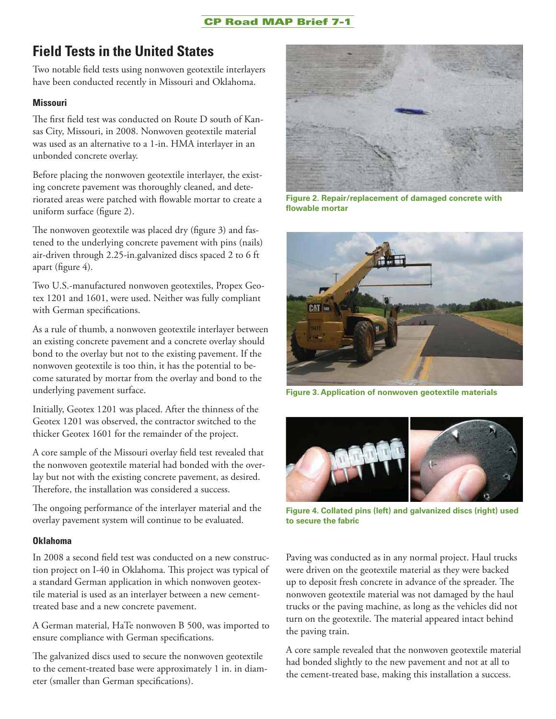### **CP Road MAP Brief 7-1**

## **Field Tests in the United States**

Two notable field tests using nonwoven geotextile interlayers have been conducted recently in Missouri and Oklahoma.

### **Missouri**

The first field test was conducted on Route D south of Kansas City, Missouri, in 2008. Nonwoven geotextile material was used as an alternative to a 1-in. HMA interlayer in an unbonded concrete overlay.

Before placing the nonwoven geotextile interlayer, the existing concrete pavement was thoroughly cleaned, and deteriorated areas were patched with flowable mortar to create a uniform surface (figure 2).

The nonwoven geotextile was placed dry (figure 3) and fastened to the underlying concrete pavement with pins (nails) air-driven through 2.25-in.galvanized discs spaced 2 to 6 ft apart (figure  $4$ ).

Two U.S.-manufactured nonwoven geotextiles, Propex Geotex 1201 and 1601, were used. Neither was fully compliant with German specifications.

As a rule of thumb, a nonwoven geotextile interlayer between an existing concrete pavement and a concrete overlay should bond to the overlay but not to the existing pavement. If the nonwoven geotextile is too thin, it has the potential to become saturated by mortar from the overlay and bond to the underlying pavement surface.

Initially, Geotex 1201 was placed. After the thinness of the Geotex 1201 was observed, the contractor switched to the thicker Geotex 1601 for the remainder of the project.

A core sample of the Missouri overlay field test revealed that the nonwoven geotextile material had bonded with the overlay but not with the existing concrete pavement, as desired. Therefore, the installation was considered a success.

The ongoing performance of the interlayer material and the overlay pavement system will continue to be evaluated.

### **Oklahoma**

In 2008 a second field test was conducted on a new construction project on I-40 in Oklahoma. This project was typical of a standard German application in which nonwoven geotextile material is used as an interlayer between a new cementtreated base and a new concrete pavement.

A German material, HaTe nonwoven B 500, was imported to ensure compliance with German specifications.

The galvanized discs used to secure the nonwoven geotextile to the cement-treated base were approximately 1 in. in diameter (smaller than German specifications).



**Figure 2. Repair/replacement of damaged concrete with fl owable mortar** 



**Figure 3. Application of nonwoven geotextile materials** 



**Figure 4. Collated pins (left) and galvanized discs (right) used to secure the fabric** 

Paving was conducted as in any normal project. Haul trucks were driven on the geotextile material as they were backed up to deposit fresh concrete in advance of the spreader. The nonwoven geotextile material was not damaged by the haul trucks or the paving machine, as long as the vehicles did not turn on the geotextile. The material appeared intact behind the paving train.

A core sample revealed that the nonwoven geotextile material had bonded slightly to the new pavement and not at all to the cement-treated base, making this installation a success.